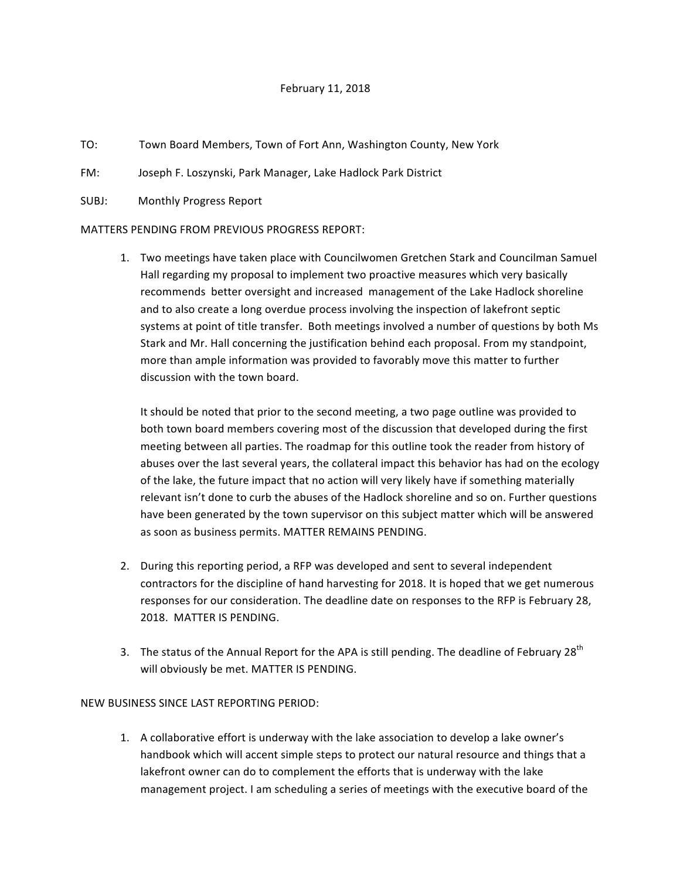## February 11, 2018

- TO: Town Board Members, Town of Fort Ann, Washington County, New York
- FM: Joseph F. Loszynski, Park Manager, Lake Hadlock Park District
- SUBJ: Monthly Progress Report

## MATTERS PENDING FROM PREVIOUS PROGRESS REPORT:

1. Two meetings have taken place with Councilwomen Gretchen Stark and Councilman Samuel Hall regarding my proposal to implement two proactive measures which very basically recommends better oversight and increased management of the Lake Hadlock shoreline and to also create a long overdue process involving the inspection of lakefront septic systems at point of title transfer. Both meetings involved a number of questions by both Ms Stark and Mr. Hall concerning the justification behind each proposal. From my standpoint, more than ample information was provided to favorably move this matter to further discussion with the town board.

It should be noted that prior to the second meeting, a two page outline was provided to both town board members covering most of the discussion that developed during the first meeting between all parties. The roadmap for this outline took the reader from history of abuses over the last several years, the collateral impact this behavior has had on the ecology of the lake, the future impact that no action will very likely have if something materially relevant isn't done to curb the abuses of the Hadlock shoreline and so on. Further questions have been generated by the town supervisor on this subject matter which will be answered as soon as business permits. MATTER REMAINS PENDING.

- 2. During this reporting period, a RFP was developed and sent to several independent contractors for the discipline of hand harvesting for 2018. It is hoped that we get numerous responses for our consideration. The deadline date on responses to the RFP is February 28, 2018. MATTER IS PENDING.
- 3. The status of the Annual Report for the APA is still pending. The deadline of February 28<sup>th</sup> will obviously be met. MATTER IS PENDING.

## NEW BUSINESS SINCE LAST REPORTING PERIOD:

1. A collaborative effort is underway with the lake association to develop a lake owner's handbook which will accent simple steps to protect our natural resource and things that a lakefront owner can do to complement the efforts that is underway with the lake management project. I am scheduling a series of meetings with the executive board of the